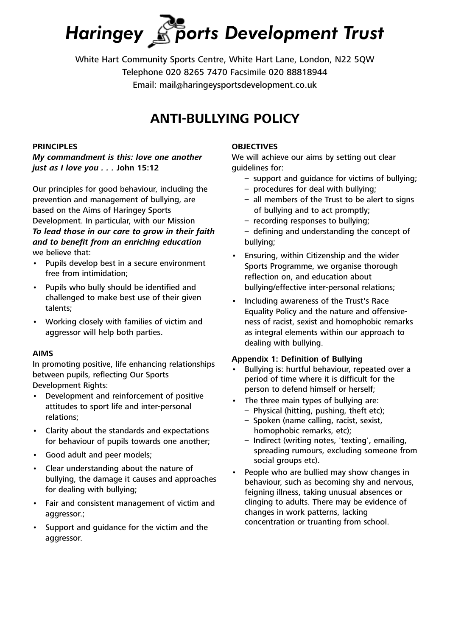# *Haringey ports Development Trust*

White Hart Community Sports Centre, White Hart Lane, London, N22 5QW Telephone 020 8265 7470 Facsimile 020 88818944 Email: mail@haringeysportsdevelopment.co.uk

# **ANTI-BULLYING POLICY**

## **PRINCIPLES**

*My commandment is this: love one another just as I love you . . .* **John 15:12**

Our principles for good behaviour, including the prevention and management of bullying, are based on the Aims of Haringey Sports Development. In particular, with our Mission *To lead those in our care to grow in their faith and to benefit from an enriching education* we believe that:

- Pupils develop best in a secure environment free from intimidation;
- Pupils who bully should be identified and challenged to make best use of their given talents;
- Working closely with families of victim and aggressor will help both parties.

#### **AIMS**

In promoting positive, life enhancing relationships between pupils, reflecting Our Sports Development Rights:

- Development and reinforcement of positive attitudes to sport life and inter-personal relations;
- Clarity about the standards and expectations for behaviour of pupils towards one another;
- Good adult and peer models;
- Clear understanding about the nature of bullying, the damage it causes and approaches for dealing with bullying;
- Fair and consistent management of victim and aggressor.;
- Support and guidance for the victim and the aggressor.

#### **OBJECTIVES**

We will achieve our aims by setting out clear quidelines for:

- support and guidance for victims of bullying;
- procedures for deal with bullying;
- all members of the Trust to be alert to signs of bullying and to act promptly;
- recording responses to bullying;
- defining and understanding the concept of bullying;
- Ensuring, within Citizenship and the wider Sports Programme, we organise thorough reflection on, and education about bullying/effective inter-personal relations;
- Including awareness of the Trust's Race Equality Policy and the nature and offensiveness of racist, sexist and homophobic remarks as integral elements within our approach to dealing with bullying.

#### **Appendix 1: Definition of Bullying**

- Bullying is: hurtful behaviour, repeated over a period of time where it is difficult for the person to defend himself or herself;
- The three main types of bullying are:
	- Physical (hitting, pushing, theft etc);
	- Spoken (name calling, racist, sexist, homophobic remarks, etc);
	- Indirect (writing notes, 'texting', emailing, spreading rumours, excluding someone from social groups etc).
- People who are bullied may show changes in behaviour, such as becoming shy and nervous, feigning illness, taking unusual absences or clinging to adults. There may be evidence of changes in work patterns, lacking concentration or truanting from school.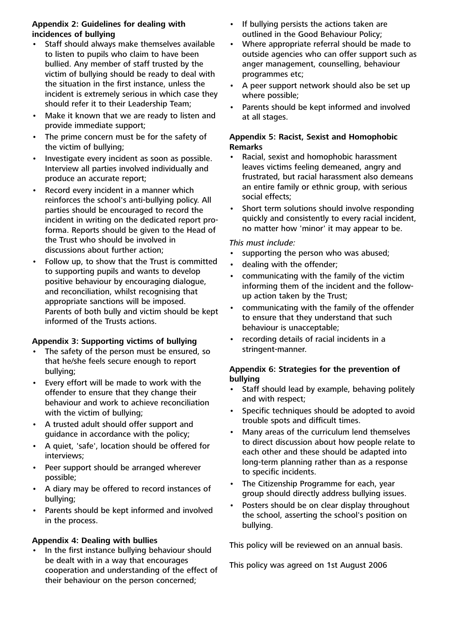#### **Appendix 2: Guidelines for dealing with incidences of bullying**

- Staff should always make themselves available to listen to pupils who claim to have been bullied. Any member of staff trusted by the victim of bullying should be ready to deal with the situation in the first instance, unless the incident is extremely serious in which case they should refer it to their Leadership Team;
- Make it known that we are ready to listen and provide immediate support;
- The prime concern must be for the safety of the victim of bullying;
- Investigate every incident as soon as possible. Interview all parties involved individually and produce an accurate report;
- Record every incident in a manner which reinforces the school's anti-bullying policy. All parties should be encouraged to record the incident in writing on the dedicated report proforma. Reports should be given to the Head of the Trust who should be involved in discussions about further action;
- Follow up, to show that the Trust is committed to supporting pupils and wants to develop positive behaviour by encouraging dialogue, and reconciliation, whilst recognising that appropriate sanctions will be imposed. Parents of both bully and victim should be kept informed of the Trusts actions.

## **Appendix 3: Supporting victims of bullying**

- The safety of the person must be ensured, so that he/she feels secure enough to report bullying;
- Every effort will be made to work with the offender to ensure that they change their behaviour and work to achieve reconciliation with the victim of bullying;
- A trusted adult should offer support and guidance in accordance with the policy;
- A quiet, 'safe', location should be offered for interviews;
- Peer support should be arranged wherever possible;
- A diary may be offered to record instances of bullying;
- Parents should be kept informed and involved in the process.

## **Appendix 4: Dealing with bullies**

• In the first instance bullying behaviour should be dealt with in a way that encourages cooperation and understanding of the effect of their behaviour on the person concerned;

- If bullying persists the actions taken are outlined in the Good Behaviour Policy;
- Where appropriate referral should be made to outside agencies who can offer support such as anger management, counselling, behaviour programmes etc;
- A peer support network should also be set up where possible;
- Parents should be kept informed and involved at all stages.

#### **Appendix 5: Racist, Sexist and Homophobic Remarks**

- Racial, sexist and homophobic harassment leaves victims feeling demeaned, angry and frustrated, but racial harassment also demeans an entire family or ethnic group, with serious social effects;
- Short term solutions should involve responding quickly and consistently to every racial incident, no matter how 'minor' it may appear to be.

#### *This must include:*

- supporting the person who was abused;
- dealing with the offender;
- communicating with the family of the victim informing them of the incident and the followup action taken by the Trust;
- communicating with the family of the offender to ensure that they understand that such behaviour is unacceptable;
- recording details of racial incidents in a stringent-manner.

#### **Appendix 6: Strategies for the prevention of bullying**

- Staff should lead by example, behaving politely and with respect;
- Specific techniques should be adopted to avoid trouble spots and difficult times.
- Many areas of the curriculum lend themselves to direct discussion about how people relate to each other and these should be adapted into long-term planning rather than as a response to specific incidents.
- The Citizenship Programme for each, year group should directly address bullying issues.
- Posters should be on clear display throughout the school, asserting the school's position on bullying.

This policy will be reviewed on an annual basis.

This policy was agreed on 1st August 2006